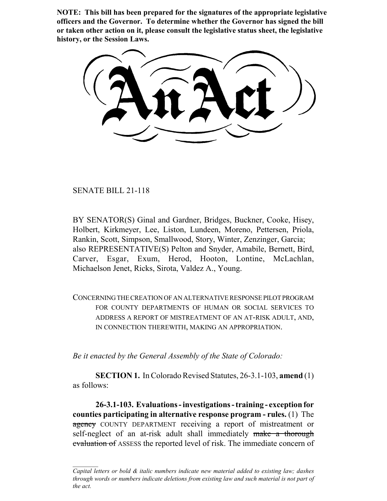**NOTE: This bill has been prepared for the signatures of the appropriate legislative officers and the Governor. To determine whether the Governor has signed the bill or taken other action on it, please consult the legislative status sheet, the legislative history, or the Session Laws.**

SENATE BILL 21-118

BY SENATOR(S) Ginal and Gardner, Bridges, Buckner, Cooke, Hisey, Holbert, Kirkmeyer, Lee, Liston, Lundeen, Moreno, Pettersen, Priola, Rankin, Scott, Simpson, Smallwood, Story, Winter, Zenzinger, Garcia; also REPRESENTATIVE(S) Pelton and Snyder, Amabile, Bernett, Bird, Carver, Esgar, Exum, Herod, Hooton, Lontine, McLachlan, Michaelson Jenet, Ricks, Sirota, Valdez A., Young.

CONCERNING THE CREATION OF AN ALTERNATIVE RESPONSE PILOT PROGRAM FOR COUNTY DEPARTMENTS OF HUMAN OR SOCIAL SERVICES TO ADDRESS A REPORT OF MISTREATMENT OF AN AT-RISK ADULT, AND, IN CONNECTION THEREWITH, MAKING AN APPROPRIATION.

*Be it enacted by the General Assembly of the State of Colorado:*

**SECTION 1.** In Colorado Revised Statutes, 26-3.1-103, **amend** (1) as follows:

**26-3.1-103. Evaluations - investigations - training - exception for counties participating in alternative response program - rules.** (1) The agency COUNTY DEPARTMENT receiving a report of mistreatment or self-neglect of an at-risk adult shall immediately make a thorough evaluation of ASSESS the reported level of risk. The immediate concern of

*Capital letters or bold & italic numbers indicate new material added to existing law; dashes through words or numbers indicate deletions from existing law and such material is not part of the act.*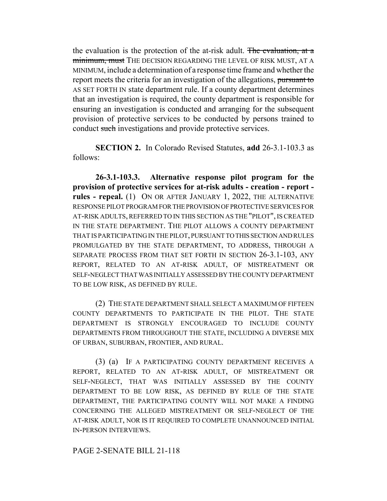the evaluation is the protection of the at-risk adult. The evaluation, at a minimum, must THE DECISION REGARDING THE LEVEL OF RISK MUST, AT A MINIMUM, include a determination of a response time frame and whether the report meets the criteria for an investigation of the allegations, pursuant to AS SET FORTH IN state department rule. If a county department determines that an investigation is required, the county department is responsible for ensuring an investigation is conducted and arranging for the subsequent provision of protective services to be conducted by persons trained to conduct such investigations and provide protective services.

**SECTION 2.** In Colorado Revised Statutes, **add** 26-3.1-103.3 as follows:

**26-3.1-103.3. Alternative response pilot program for the provision of protective services for at-risk adults - creation - report rules - repeal.** (1) ON OR AFTER JANUARY 1, 2022, THE ALTERNATIVE RESPONSE PILOT PROGRAM FOR THE PROVISION OF PROTECTIVE SERVICES FOR AT-RISK ADULTS, REFERRED TO IN THIS SECTION AS THE "PILOT", IS CREATED IN THE STATE DEPARTMENT. THE PILOT ALLOWS A COUNTY DEPARTMENT THAT IS PARTICIPATING IN THE PILOT, PURSUANT TO THIS SECTION AND RULES PROMULGATED BY THE STATE DEPARTMENT, TO ADDRESS, THROUGH A SEPARATE PROCESS FROM THAT SET FORTH IN SECTION 26-3.1-103, ANY REPORT, RELATED TO AN AT-RISK ADULT, OF MISTREATMENT OR SELF-NEGLECT THAT WAS INITIALLY ASSESSED BY THE COUNTY DEPARTMENT TO BE LOW RISK, AS DEFINED BY RULE.

(2) THE STATE DEPARTMENT SHALL SELECT A MAXIMUM OF FIFTEEN COUNTY DEPARTMENTS TO PARTICIPATE IN THE PILOT. THE STATE DEPARTMENT IS STRONGLY ENCOURAGED TO INCLUDE COUNTY DEPARTMENTS FROM THROUGHOUT THE STATE, INCLUDING A DIVERSE MIX OF URBAN, SUBURBAN, FRONTIER, AND RURAL.

(3) (a) IF A PARTICIPATING COUNTY DEPARTMENT RECEIVES A REPORT, RELATED TO AN AT-RISK ADULT, OF MISTREATMENT OR SELF-NEGLECT, THAT WAS INITIALLY ASSESSED BY THE COUNTY DEPARTMENT TO BE LOW RISK, AS DEFINED BY RULE OF THE STATE DEPARTMENT, THE PARTICIPATING COUNTY WILL NOT MAKE A FINDING CONCERNING THE ALLEGED MISTREATMENT OR SELF-NEGLECT OF THE AT-RISK ADULT, NOR IS IT REQUIRED TO COMPLETE UNANNOUNCED INITIAL IN-PERSON INTERVIEWS.

## PAGE 2-SENATE BILL 21-118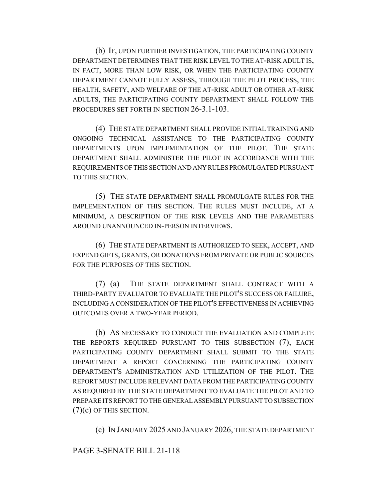(b) IF, UPON FURTHER INVESTIGATION, THE PARTICIPATING COUNTY DEPARTMENT DETERMINES THAT THE RISK LEVEL TO THE AT-RISK ADULT IS, IN FACT, MORE THAN LOW RISK, OR WHEN THE PARTICIPATING COUNTY DEPARTMENT CANNOT FULLY ASSESS, THROUGH THE PILOT PROCESS, THE HEALTH, SAFETY, AND WELFARE OF THE AT-RISK ADULT OR OTHER AT-RISK ADULTS, THE PARTICIPATING COUNTY DEPARTMENT SHALL FOLLOW THE PROCEDURES SET FORTH IN SECTION 26-3.1-103.

(4) THE STATE DEPARTMENT SHALL PROVIDE INITIAL TRAINING AND ONGOING TECHNICAL ASSISTANCE TO THE PARTICIPATING COUNTY DEPARTMENTS UPON IMPLEMENTATION OF THE PILOT. THE STATE DEPARTMENT SHALL ADMINISTER THE PILOT IN ACCORDANCE WITH THE REQUIREMENTS OF THIS SECTION AND ANY RULES PROMULGATED PURSUANT TO THIS SECTION.

(5) THE STATE DEPARTMENT SHALL PROMULGATE RULES FOR THE IMPLEMENTATION OF THIS SECTION. THE RULES MUST INCLUDE, AT A MINIMUM, A DESCRIPTION OF THE RISK LEVELS AND THE PARAMETERS AROUND UNANNOUNCED IN-PERSON INTERVIEWS.

(6) THE STATE DEPARTMENT IS AUTHORIZED TO SEEK, ACCEPT, AND EXPEND GIFTS, GRANTS, OR DONATIONS FROM PRIVATE OR PUBLIC SOURCES FOR THE PURPOSES OF THIS SECTION.

(7) (a) THE STATE DEPARTMENT SHALL CONTRACT WITH A THIRD-PARTY EVALUATOR TO EVALUATE THE PILOT'S SUCCESS OR FAILURE, INCLUDING A CONSIDERATION OF THE PILOT'S EFFECTIVENESS IN ACHIEVING OUTCOMES OVER A TWO-YEAR PERIOD.

(b) AS NECESSARY TO CONDUCT THE EVALUATION AND COMPLETE THE REPORTS REQUIRED PURSUANT TO THIS SUBSECTION (7), EACH PARTICIPATING COUNTY DEPARTMENT SHALL SUBMIT TO THE STATE DEPARTMENT A REPORT CONCERNING THE PARTICIPATING COUNTY DEPARTMENT'S ADMINISTRATION AND UTILIZATION OF THE PILOT. THE REPORT MUST INCLUDE RELEVANT DATA FROM THE PARTICIPATING COUNTY AS REQUIRED BY THE STATE DEPARTMENT TO EVALUATE THE PILOT AND TO PREPARE ITS REPORT TO THE GENERAL ASSEMBLY PURSUANT TO SUBSECTION  $(7)(c)$  OF THIS SECTION.

(c) IN JANUARY 2025 AND JANUARY 2026, THE STATE DEPARTMENT

## PAGE 3-SENATE BILL 21-118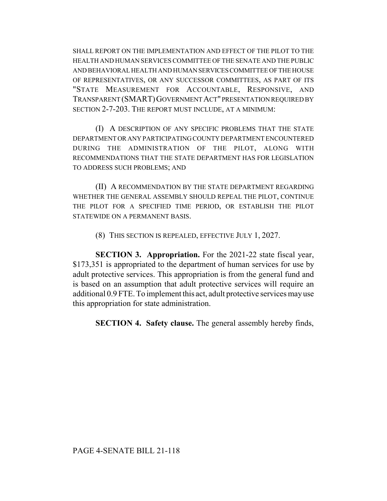SHALL REPORT ON THE IMPLEMENTATION AND EFFECT OF THE PILOT TO THE HEALTH AND HUMAN SERVICES COMMITTEE OF THE SENATE AND THE PUBLIC AND BEHAVIORAL HEALTH AND HUMAN SERVICES COMMITTEE OF THE HOUSE OF REPRESENTATIVES, OR ANY SUCCESSOR COMMITTEES, AS PART OF ITS "STATE MEASUREMENT FOR ACCOUNTABLE, RESPONSIVE, AND TRANSPARENT (SMART)GOVERNMENT ACT" PRESENTATION REQUIRED BY SECTION 2-7-203. THE REPORT MUST INCLUDE, AT A MINIMUM:

(I) A DESCRIPTION OF ANY SPECIFIC PROBLEMS THAT THE STATE DEPARTMENT OR ANY PARTICIPATING COUNTY DEPARTMENT ENCOUNTERED DURING THE ADMINISTRATION OF THE PILOT, ALONG WITH RECOMMENDATIONS THAT THE STATE DEPARTMENT HAS FOR LEGISLATION TO ADDRESS SUCH PROBLEMS; AND

(II) A RECOMMENDATION BY THE STATE DEPARTMENT REGARDING WHETHER THE GENERAL ASSEMBLY SHOULD REPEAL THE PILOT, CONTINUE THE PILOT FOR A SPECIFIED TIME PERIOD, OR ESTABLISH THE PILOT STATEWIDE ON A PERMANENT BASIS.

(8) THIS SECTION IS REPEALED, EFFECTIVE JULY 1, 2027.

**SECTION 3. Appropriation.** For the 2021-22 state fiscal year, \$173,351 is appropriated to the department of human services for use by adult protective services. This appropriation is from the general fund and is based on an assumption that adult protective services will require an additional 0.9 FTE. To implement this act, adult protective services may use this appropriation for state administration.

**SECTION 4. Safety clause.** The general assembly hereby finds,